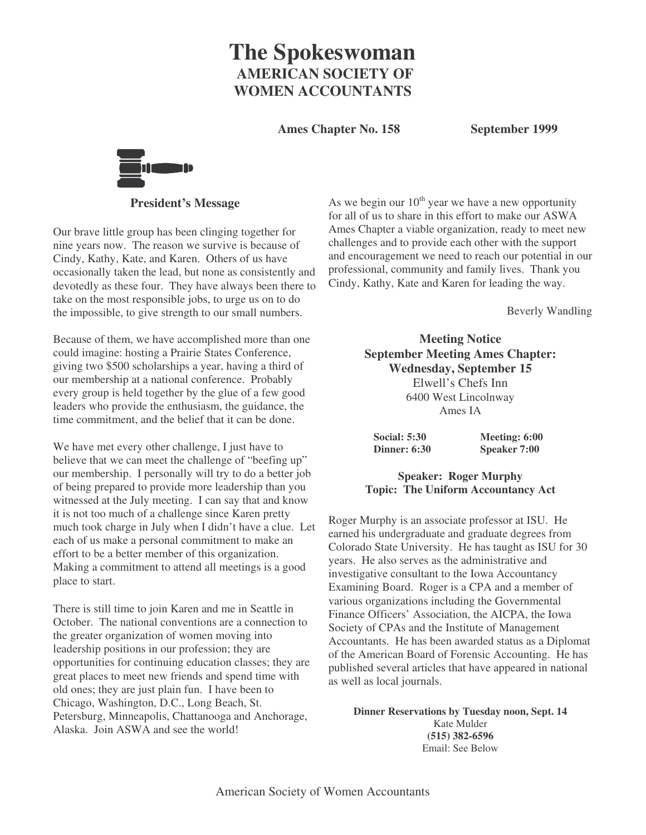# **The Spokeswoman AMERICAN SOCIETY OF WOMEN ACCOUNTANTS**

**Ames Chapter No. 158 September 1999**



**President's Message**

Our brave little group has been clinging together for nine years now. The reason we survive is because of Cindy, Kathy, Kate, and Karen. Others of us have occasionally taken the lead, but none as consistently and devotedly as these four. They have always been there to take on the most responsible jobs, to urge us on to do the impossible, to give strength to our small numbers.

Because of them, we have accomplished more than one could imagine: hosting a Prairie States Conference, giving two \$500 scholarships a year, having a third of our membership at a national conference. Probably every group is held together by the glue of a few good leaders who provide the enthusiasm, the guidance, the time commitment, and the belief that it can be done.

We have met every other challenge, I just have to believe that we can meet the challenge of "beefing up" our membership. I personally will try to do a better job of being prepared to provide more leadership than you witnessed at the July meeting. I can say that and know it is not too much of a challenge since Karen pretty much took charge in July when I didn't have a clue. Let each of us make a personal commitment to make an effort to be a better member of this organization. Making a commitment to attend all meetings is a good place to start.

There is still time to join Karen and me in Seattle in October. The national conventions are a connection to the greater organization of women moving into leadership positions in our profession; they are opportunities for continuing education classes; they are great places to meet new friends and spend time with old ones; they are just plain fun. I have been to Chicago, Washington, D.C., Long Beach, St. Petersburg, Minneapolis, Chattanooga and Anchorage, Alaska. Join ASWA and see the world!

As we begin our  $10^{th}$  year we have a new opportunity for all of us to share in this effort to make our ASWA Ames Chapter a viable organization, ready to meet new challenges and to provide each other with the support and encouragement we need to reach our potential in our professional, community and family lives. Thank you Cindy, Kathy, Kate and Karen for leading the way.

Beverly Wandling

**Meeting Notice September Meeting Ames Chapter: Wednesday, September 15** Elwell's Chefs Inn 6400 West Lincolnway Ames IA

**Social: 5:30 Meeting: 6:00 Dinner: 6:30 Speaker 7:00**

**Speaker: Roger Murphy Topic: The Uniform Accountancy Act**

Roger Murphy is an associate professor at ISU. He earned his undergraduate and graduate degrees from Colorado State University. He has taught as ISU for 30 years. He also serves as the administrative and investigative consultant to the Iowa Accountancy Examining Board. Roger is a CPA and a member of various organizations including the Governmental Finance Officers' Association, the AICPA, the Iowa Society of CPAs and the Institute of Management Accountants. He has been awarded status as a Diplomat of the American Board of Forensic Accounting. He has published several articles that have appeared in national as well as local journals.

**Dinner Reservations by Tuesday noon, Sept. 14** Kate Mulder **(515) 382-6596** Email: See Below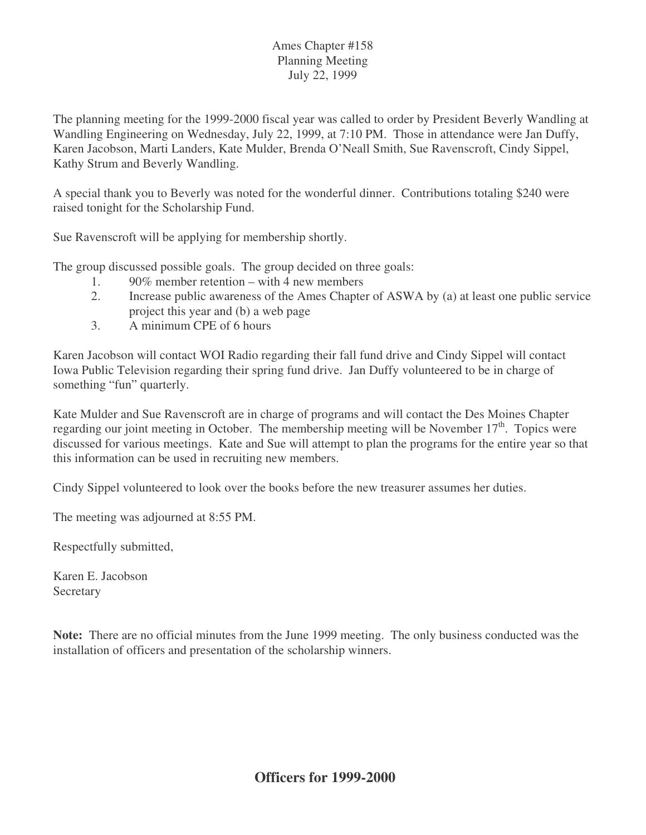### Ames Chapter #158 Planning Meeting July 22, 1999

The planning meeting for the 1999-2000 fiscal year was called to order by President Beverly Wandling at Wandling Engineering on Wednesday, July 22, 1999, at 7:10 PM. Those in attendance were Jan Duffy, Karen Jacobson, Marti Landers, Kate Mulder, Brenda O'Neall Smith, Sue Ravenscroft, Cindy Sippel, Kathy Strum and Beverly Wandling.

A special thank you to Beverly was noted for the wonderful dinner. Contributions totaling \$240 were raised tonight for the Scholarship Fund.

Sue Ravenscroft will be applying for membership shortly.

The group discussed possible goals. The group decided on three goals:

- 1. 90% member retention with 4 new members
- 2. Increase public awareness of the Ames Chapter of ASWA by (a) at least one public service project this year and (b) a web page
- 3. A minimum CPE of 6 hours

Karen Jacobson will contact WOI Radio regarding their fall fund drive and Cindy Sippel will contact Iowa Public Television regarding their spring fund drive. Jan Duffy volunteered to be in charge of something "fun" quarterly.

Kate Mulder and Sue Ravenscroft are in charge of programs and will contact the Des Moines Chapter regarding our joint meeting in October. The membership meeting will be November  $17<sup>th</sup>$ . Topics were discussed for various meetings. Kate and Sue will attempt to plan the programs for the entire year so that this information can be used in recruiting new members.

Cindy Sippel volunteered to look over the books before the new treasurer assumes her duties.

The meeting was adjourned at 8:55 PM.

Respectfully submitted,

Karen E. Jacobson Secretary

**Note:** There are no official minutes from the June 1999 meeting. The only business conducted was the installation of officers and presentation of the scholarship winners.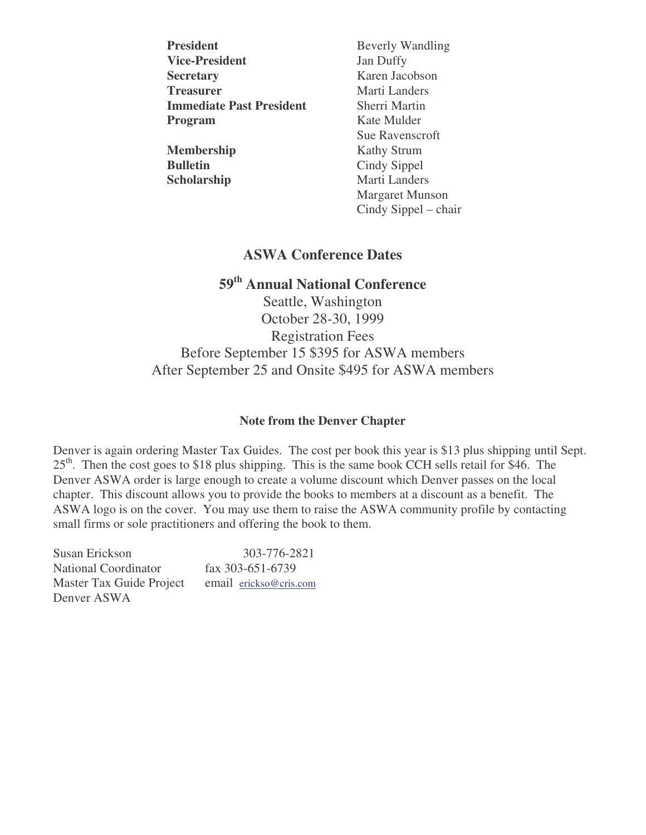| <b>President</b>                | <b>Beverly Wandling</b> |  |  |
|---------------------------------|-------------------------|--|--|
| <b>Vice-President</b>           | Jan Duffy               |  |  |
| <b>Secretary</b>                | Karen Jacobson          |  |  |
| <b>Treasurer</b>                | Marti Landers           |  |  |
| <b>Immediate Past President</b> | Sherri Martin           |  |  |
| Program                         | Kate Mulder             |  |  |
|                                 | Sue Ravenscroft         |  |  |
| Membership                      | <b>Kathy Strum</b>      |  |  |
| <b>Bulletin</b>                 | Cindy Sippel            |  |  |
| Scholarship                     | Marti Landers           |  |  |
|                                 | <b>Margaret Munson</b>  |  |  |
|                                 | Cindy Sippel – chair    |  |  |

## **ASWA Conference Dates**

## **59 th Annual National Conference**

Seattle, Washington October 28-30, 1999 Registration Fees Before September 15 \$395 for ASWA members After September 25 and Onsite \$495 for ASWA members

#### **Note from the Denver Chapter**

Denver is again ordering Master Tax Guides. The cost per book this year is \$13 plus shipping until Sept. 25<sup>th</sup>. Then the cost goes to \$18 plus shipping. This is the same book CCH sells retail for \$46. The Denver ASWA order is large enough to create a volume discount which Denver passes on the local chapter. This discount allows you to provide the books to members at a discount as a benefit. The ASWA logo is on the cover. You may use them to raise the ASWA community profile by contacting small firms or sole practitioners and offering the book to them.

Susan Erickson 303-776-2821 National Coordinator fax 303-651-6739 Master Tax Guide Project email erickso@cris.com Denver ASWA